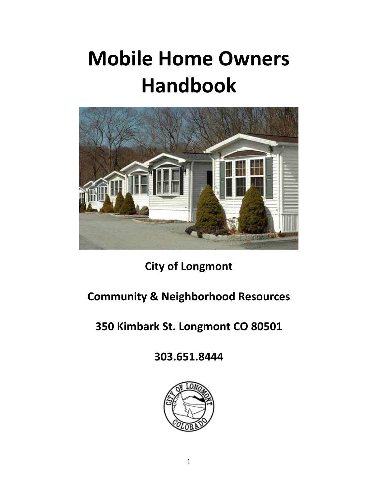# **Mobile Home Owners Handbook**



**City of Longmont**

# **Community & Neighborhood Resources**

# **350 Kimbark St. Longmont CO 80501**

**303.651.8444**

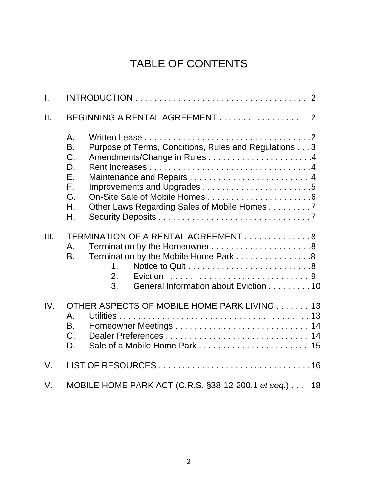# TABLE OF CONTENTS

| T.          |                                                                                                                                                                                               |   |
|-------------|-----------------------------------------------------------------------------------------------------------------------------------------------------------------------------------------------|---|
| Ш.          | BEGINNING A RENTAL AGREEMENT                                                                                                                                                                  | 2 |
|             | A.<br>Purpose of Terms, Conditions, Rules and Regulations 3<br><b>B.</b><br>$C_{\cdot}$<br>D.<br>E.<br>$F_{\perp}$<br>G.<br>$H_{\cdot}$<br>Other Laws Regarding Sales of Mobile Homes 7<br>Η. |   |
| III.        | TERMINATION OF A RENTAL AGREEMENT 8<br>A.<br><b>B.</b><br>Termination by the Mobile Home Park 8<br>1 <sub>1</sub><br>2.<br>General Information about Eviction 10<br>3.                        |   |
| $IV_{-}$    | OTHER ASPECTS OF MOBILE HOME PARK LIVING 13<br>Α.<br><b>B.</b><br>$C_{\cdot}$<br>D.                                                                                                           |   |
| $V_{\cdot}$ |                                                                                                                                                                                               |   |
| V.          | MOBILE HOME PARK ACT (C.R.S. §38-12-200.1 et seq.) 18                                                                                                                                         |   |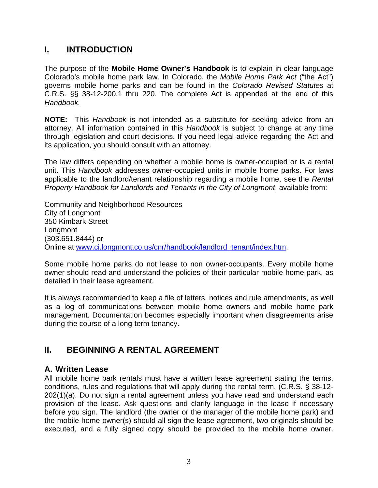# **I. INTRODUCTION**

The purpose of the **Mobile Home Owner's Handbook** is to explain in clear language Colorado's mobile home park law. In Colorado, the *Mobile Home Park Act* ("the Act") governs mobile home parks and can be found in the *Colorado Revised Statutes* at C.R.S. §§ 38-12-200.1 thru 220. The complete Act is appended at the end of this *Handbook.* 

**NOTE:** This *Handbook* is not intended as a substitute for seeking advice from an attorney. All information contained in this *Handbook* is subject to change at any time through legislation and court decisions. If you need legal advice regarding the Act and its application, you should consult with an attorney.

The law differs depending on whether a mobile home is owner-occupied or is a rental unit. This *Handbook* addresses owner-occupied units in mobile home parks. For laws applicable to the landlord/tenant relationship regarding a mobile home, see the *Rental Property Handbook for Landlords and Tenants in the City of Longmont*, available from:

Community and Neighborhood Resources City of Longmont 350 Kimbark Street Longmont (303.651.8444) or Online at www.ci.longmont.co.us/cnr/handbook/landlord\_tenant/index.htm.

Some mobile home parks do not lease to non owner-occupants. Every mobile home owner should read and understand the policies of their particular mobile home park, as detailed in their lease agreement.

It is always recommended to keep a file of letters, notices and rule amendments, as well as a log of communications between mobile home owners and mobile home park management. Documentation becomes especially important when disagreements arise during the course of a long-term tenancy.

# **II. BEGINNING A RENTAL AGREEMENT**

## **A. Written Lease**

All mobile home park rentals must have a written lease agreement stating the terms, conditions, rules and regulations that will apply during the rental term. (C.R.S. § 38-12- 202(1)(a). Do not sign a rental agreement unless you have read and understand each provision of the lease. Ask questions and clarify language in the lease if necessary before you sign. The landlord (the owner or the manager of the mobile home park) and the mobile home owner(s) should all sign the lease agreement, two originals should be executed, and a fully signed copy should be provided to the mobile home owner.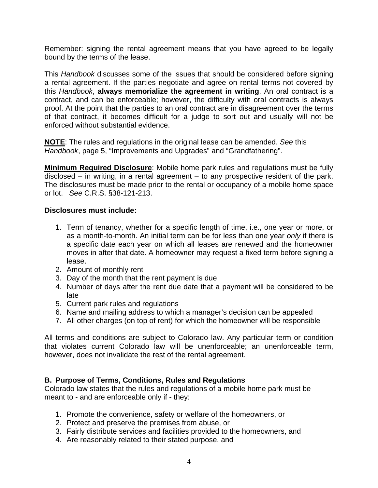Remember: signing the rental agreement means that you have agreed to be legally bound by the terms of the lease.

This *Handbook* discusses some of the issues that should be considered before signing a rental agreement. If the parties negotiate and agree on rental terms not covered by this *Handbook*, **always memorialize the agreement in writing**. An oral contract is a contract, and can be enforceable; however, the difficulty with oral contracts is always proof. At the point that the parties to an oral contract are in disagreement over the terms of that contract, it becomes difficult for a judge to sort out and usually will not be enforced without substantial evidence.

**NOTE**: The rules and regulations in the original lease can be amended. *See* this *Handbook*, page 5, "Improvements and Upgrades" and "Grandfathering".

**Minimum Required Disclosure**: Mobile home park rules and regulations must be fully  $\overline{\text{disclosed}} - \text{in writing, in a rental agreement} - \text{to any prospective resident of the park.}$ The disclosures must be made prior to the rental or occupancy of a mobile home space or lot. *See* C.R.S. §38-121-213.

#### **Disclosures must include:**

- 1. Term of tenancy, whether for a specific length of time, i.e., one year or more, or as a month-to-month. An initial term can be for less than one year *only* if there is a specific date each year on which all leases are renewed and the homeowner moves in after that date. A homeowner may request a fixed term before signing a lease.
- 2. Amount of monthly rent
- 3. Day of the month that the rent payment is due
- 4. Number of days after the rent due date that a payment will be considered to be late
- 5. Current park rules and regulations
- 6. Name and mailing address to which a manager's decision can be appealed
- 7. All other charges (on top of rent) for which the homeowner will be responsible

All terms and conditions are subject to Colorado law. Any particular term or condition that violates current Colorado law will be unenforceable; an unenforceable term, however, does not invalidate the rest of the rental agreement.

#### **B. Purpose of Terms, Conditions, Rules and Regulations**

Colorado law states that the rules and regulations of a mobile home park must be meant to - and are enforceable only if - they:

- 1. Promote the convenience, safety or welfare of the homeowners, or
- 2. Protect and preserve the premises from abuse, or
- 3. Fairly distribute services and facilities provided to the homeowners, and
- 4. Are reasonably related to their stated purpose, and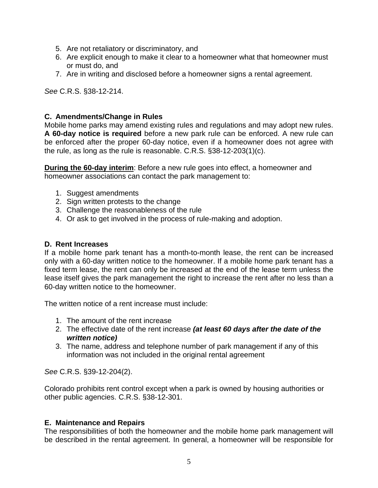- 5. Are not retaliatory or discriminatory, and
- 6. Are explicit enough to make it clear to a homeowner what that homeowner must or must do, and
- 7. Are in writing and disclosed before a homeowner signs a rental agreement.

*See* C.R.S. §38-12-214.

#### **C. Amendments/Change in Rules**

Mobile home parks may amend existing rules and regulations and may adopt new rules. **A 60-day notice is required** before a new park rule can be enforced. A new rule can be enforced after the proper 60-day notice, even if a homeowner does not agree with the rule, as long as the rule is reasonable. C.R.S. §38-12-203(1)(c).

**During the 60-day interim**: Before a new rule goes into effect, a homeowner and homeowner associations can contact the park management to:

- 1. Suggest amendments
- 2. Sign written protests to the change
- 3. Challenge the reasonableness of the rule
- 4. Or ask to get involved in the process of rule-making and adoption.

#### **D. Rent Increases**

If a mobile home park tenant has a month-to-month lease, the rent can be increased only with a 60-day written notice to the homeowner. If a mobile home park tenant has a fixed term lease, the rent can only be increased at the end of the lease term unless the lease itself gives the park management the right to increase the rent after no less than a 60-day written notice to the homeowner.

The written notice of a rent increase must include:

- 1. The amount of the rent increase
- 2. The effective date of the rent increase *(at least 60 days after the date of the written notice)*
- 3. The name, address and telephone number of park management if any of this information was not included in the original rental agreement

*See* C.R.S. §39-12-204(2).

Colorado prohibits rent control except when a park is owned by housing authorities or other public agencies. C.R.S. §38-12-301.

#### **E. Maintenance and Repairs**

The responsibilities of both the homeowner and the mobile home park management will be described in the rental agreement. In general, a homeowner will be responsible for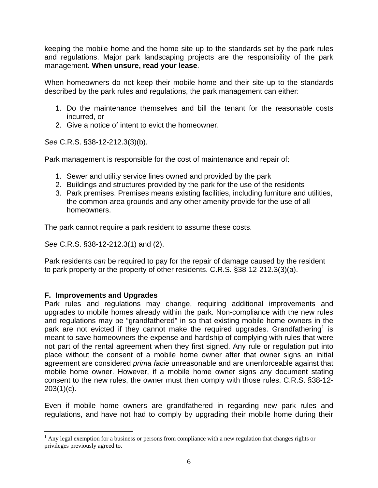keeping the mobile home and the home site up to the standards set by the park rules and regulations. Major park landscaping projects are the responsibility of the park management. **When unsure, read your lease**.

When homeowners do not keep their mobile home and their site up to the standards described by the park rules and regulations, the park management can either:

- 1. Do the maintenance themselves and bill the tenant for the reasonable costs incurred, or
- 2. Give a notice of intent to evict the homeowner.

*See* C.R.S. §38-12-212.3(3)(b).

Park management is responsible for the cost of maintenance and repair of:

- 1. Sewer and utility service lines owned and provided by the park
- 2. Buildings and structures provided by the park for the use of the residents
- 3. Park premises. Premises means existing facilities, including furniture and utilities, the common-area grounds and any other amenity provide for the use of all homeowners.

The park cannot require a park resident to assume these costs.

*See* C.R.S. §38-12-212.3(1) and (2).

Park residents *can* be required to pay for the repair of damage caused by the resident to park property or the property of other residents. C.R.S. §38-12-212.3(3)(a).

#### **F. Improvements and Upgrades**

1

Park rules and regulations may change, requiring additional improvements and upgrades to mobile homes already within the park. Non-compliance with the new rules and regulations may be "grandfathered" in so that existing mobile home owners in the park are not evicted if they cannot make the required upgrades. Grandfathering<sup>1</sup> is meant to save homeowners the expense and hardship of complying with rules that were not part of the rental agreement when they first signed. Any rule or regulation put into place without the consent of a mobile home owner after that owner signs an initial agreement are considered *prima facie* unreasonable and are unenforceable against that mobile home owner. However, if a mobile home owner signs any document stating consent to the new rules, the owner must then comply with those rules. C.R.S. §38-12-  $203(1)(c)$ .

Even if mobile home owners are grandfathered in regarding new park rules and regulations, and have not had to comply by upgrading their mobile home during their

<sup>&</sup>lt;sup>1</sup> Any legal exemption for a business or persons from compliance with a new regulation that changes rights or privileges previously agreed to.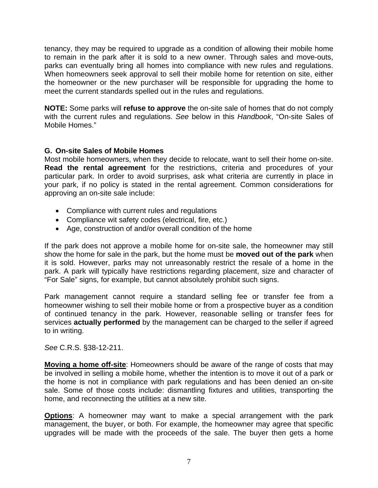tenancy, they may be required to upgrade as a condition of allowing their mobile home to remain in the park after it is sold to a new owner. Through sales and move-outs, parks can eventually bring all homes into compliance with new rules and regulations. When homeowners seek approval to sell their mobile home for retention on site, either the homeowner or the new purchaser will be responsible for upgrading the home to meet the current standards spelled out in the rules and regulations.

**NOTE:** Some parks will **refuse to approve** the on-site sale of homes that do not comply with the current rules and regulations. *See* below in this *Handbook*, "On-site Sales of Mobile Homes."

#### **G. On-site Sales of Mobile Homes**

Most mobile homeowners, when they decide to relocate, want to sell their home on-site. **Read the rental agreement** for the restrictions, criteria and procedures of your particular park. In order to avoid surprises, ask what criteria are currently in place in your park, if no policy is stated in the rental agreement. Common considerations for approving an on-site sale include:

- Compliance with current rules and regulations
- Compliance wit safety codes (electrical, fire, etc.)
- Age, construction of and/or overall condition of the home

If the park does not approve a mobile home for on-site sale, the homeowner may still show the home for sale in the park, but the home must be **moved out of the park** when it is sold. However, parks may not unreasonably restrict the resale of a home in the park. A park will typically have restrictions regarding placement, size and character of "For Sale" signs, for example, but cannot absolutely prohibit such signs.

Park management cannot require a standard selling fee or transfer fee from a homeowner wishing to sell their mobile home or from a prospective buyer as a condition of continued tenancy in the park. However, reasonable selling or transfer fees for services **actually performed** by the management can be charged to the seller if agreed to in writing.

*See* C.R.S. §38-12-211.

**Moving a home off-site**: Homeowners should be aware of the range of costs that may be involved in selling a mobile home, whether the intention is to move it out of a park or the home is not in compliance with park regulations and has been denied an on-site sale. Some of those costs include: dismantling fixtures and utilities, transporting the home, and reconnecting the utilities at a new site.

**Options**: A homeowner may want to make a special arrangement with the park management, the buyer, or both. For example, the homeowner may agree that specific upgrades will be made with the proceeds of the sale. The buyer then gets a home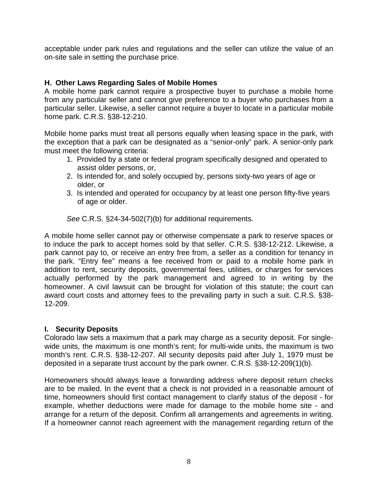acceptable under park rules and regulations and the seller can utilize the value of an on-site sale in setting the purchase price.

#### **H. Other Laws Regarding Sales of Mobile Homes**

A mobile home park cannot require a prospective buyer to purchase a mobile home from any particular seller and cannot give preference to a buyer who purchases from a particular seller. Likewise, a seller cannot require a buyer to locate in a particular mobile home park. C.R.S. §38-12-210.

Mobile home parks must treat all persons equally when leasing space in the park, with the exception that a park can be designated as a "senior-only" park. A senior-only park must meet the following criteria:

- 1. Provided by a state or federal program specifically designed and operated to assist older persons, or,
- 2. Is intended for, and solely occupied by, persons sixty-two years of age or older, or
- 3. Is intended and operated for occupancy by at least one person fifty-five years of age or older.

*See* C.R.S. §24-34-502(7)(b) for additional requirements.

A mobile home seller cannot pay or otherwise compensate a park to reserve spaces or to induce the park to accept homes sold by that seller. C.R.S. §38-12-212. Likewise, a park cannot pay to, or receive an entry free from, a seller as a condition for tenancy in the park. "Entry fee" means a fee received from or paid to a mobile home park in addition to rent, security deposits, governmental fees, utilities, or charges for services actually performed by the park management and agreed to in writing by the homeowner. A civil lawsuit can be brought for violation of this statute; the court can award court costs and attorney fees to the prevailing party in such a suit. C.R.S. §38- 12-209.

#### **I. Security Deposits**

Colorado law sets a maximum that a park may charge as a security deposit. For singlewide units, the maximum is one month's rent; for multi-wide units, the maximum is two month's rent. C.R.S. §38-12-207. All security deposits paid after July 1, 1979 must be deposited in a separate trust account by the park owner. C.R.S. §38-12-209(1)(b).

Homeowners should always leave a forwarding address where deposit return checks are to be mailed. In the event that a check is not provided in a reasonable amount of time, homeowners should first contact management to clarify status of the deposit - for example, whether deductions were made for damage to the mobile home site - and arrange for a return of the deposit. Confirm all arrangements and agreements in writing. If a homeowner cannot reach agreement with the management regarding return of the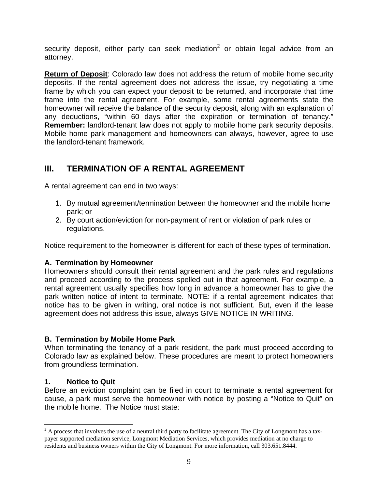security deposit, either party can seek mediation<sup>2</sup> or obtain legal advice from an attorney.

**Return of Deposit**: Colorado law does not address the return of mobile home security deposits. If the rental agreement does not address the issue, try negotiating a time frame by which you can expect your deposit to be returned, and incorporate that time frame into the rental agreement. For example, some rental agreements state the homeowner will receive the balance of the security deposit, along with an explanation of any deductions, "within 60 days after the expiration or termination of tenancy." **Remember:** landlord-tenant law does not apply to mobile home park security deposits. Mobile home park management and homeowners can always, however, agree to use the landlord-tenant framework.

# **III. TERMINATION OF A RENTAL AGREEMENT**

A rental agreement can end in two ways:

- 1. By mutual agreement/termination between the homeowner and the mobile home park; or
- 2. By court action/eviction for non-payment of rent or violation of park rules or regulations.

Notice requirement to the homeowner is different for each of these types of termination.

#### **A. Termination by Homeowner**

Homeowners should consult their rental agreement and the park rules and regulations and proceed according to the process spelled out in that agreement. For example, a rental agreement usually specifies how long in advance a homeowner has to give the park written notice of intent to terminate. NOTE: if a rental agreement indicates that notice has to be given in writing, oral notice is not sufficient. But, even if the lease agreement does not address this issue, always GIVE NOTICE IN WRITING.

## **B. Termination by Mobile Home Park**

When terminating the tenancy of a park resident, the park must proceed according to Colorado law as explained below. These procedures are meant to protect homeowners from groundless termination.

#### **1. Notice to Quit**

1

Before an eviction complaint can be filed in court to terminate a rental agreement for cause, a park must serve the homeowner with notice by posting a "Notice to Quit" on the mobile home. The Notice must state:

 $2^2$  A process that involves the use of a neutral third party to facilitate agreement. The City of Longmont has a taxpayer supported mediation service, Longmont Mediation Services, which provides mediation at no charge to residents and business owners within the City of Longmont. For more information, call 303.651.8444.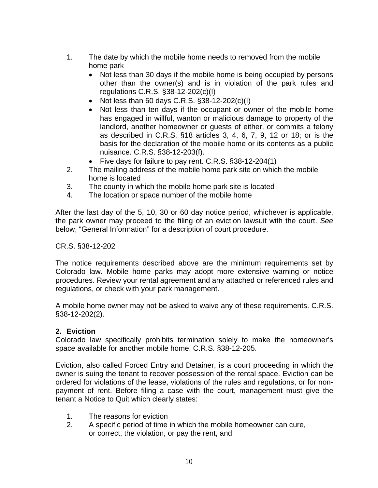- 1. The date by which the mobile home needs to removed from the mobile home park
	- Not less than 30 days if the mobile home is being occupied by persons other than the owner(s) and is in violation of the park rules and regulations C.R.S. §38-12-202(c)(I)
	- Not less than 60 days C.R.S. §38-12-202(c)(l)
	- Not less than ten days if the occupant or owner of the mobile home has engaged in willful, wanton or malicious damage to property of the landlord, another homeowner or guests of either, or commits a felony as described in C.R.S. §18 articles 3, 4, 6, 7, 9, 12 or 18; or is the basis for the declaration of the mobile home or its contents as a public nuisance. C.R.S. §38-12-203(f).
	- Five days for failure to pay rent. C.R.S. §38-12-204(1)
- 2. The mailing address of the mobile home park site on which the mobile home is located
- 3. The county in which the mobile home park site is located
- 4. The location or space number of the mobile home

After the last day of the 5, 10, 30 or 60 day notice period, whichever is applicable, the park owner may proceed to the filing of an eviction lawsuit with the court. *See* below, "General Information" for a description of court procedure.

CR.S. §38-12-202

The notice requirements described above are the minimum requirements set by Colorado law. Mobile home parks may adopt more extensive warning or notice procedures. Review your rental agreement and any attached or referenced rules and regulations, or check with your park management.

A mobile home owner may not be asked to waive any of these requirements. C.R.S. §38-12-202(2).

#### **2. Eviction**

Colorado law specifically prohibits termination solely to make the homeowner's space available for another mobile home. C.R.S. §38-12-205.

Eviction, also called Forced Entry and Detainer, is a court proceeding in which the owner is suing the tenant to recover possession of the rental space. Eviction can be ordered for violations of the lease, violations of the rules and regulations, or for nonpayment of rent. Before filing a case with the court, management must give the tenant a Notice to Quit which clearly states:

- 1. The reasons for eviction
- 2. A specific period of time in which the mobile homeowner can cure, or correct, the violation, or pay the rent, and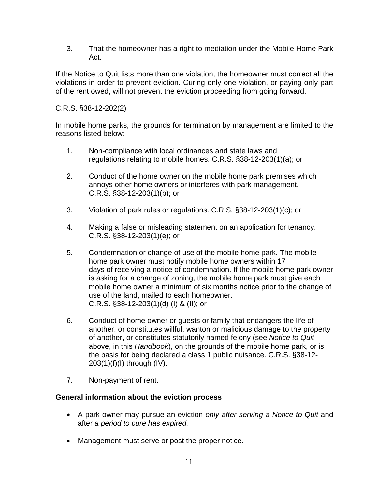3. That the homeowner has a right to mediation under the Mobile Home Park Act.

If the Notice to Quit lists more than one violation, the homeowner must correct all the violations in order to prevent eviction. Curing only one violation, or paying only part of the rent owed, will not prevent the eviction proceeding from going forward.

C.R.S. §38-12-202(2)

In mobile home parks, the grounds for termination by management are limited to the reasons listed below:

- 1. Non-compliance with local ordinances and state laws and regulations relating to mobile homes. C.R.S. §38-12-203(1)(a); or
- 2. Conduct of the home owner on the mobile home park premises which annoys other home owners or interferes with park management. C.R.S. §38-12-203(1)(b); or
- 3. Violation of park rules or regulations. C.R.S. §38-12-203(1)(c); or
- 4. Making a false or misleading statement on an application for tenancy. C.R.S. §38-12-203(1)(e); or
- 5. Condemnation or change of use of the mobile home park. The mobile home park owner must notify mobile home owners within 17 days of receiving a notice of condemnation. If the mobile home park owner is asking for a change of zoning, the mobile home park must give each mobile home owner a minimum of six months notice prior to the change of use of the land, mailed to each homeowner. C.R.S. §38-12-203(1)(d) (I) & (II); or
- 6. Conduct of home owner or guests or family that endangers the life of another, or constitutes willful, wanton or malicious damage to the property of another, or constitutes statutorily named felony (see *Notice to Quit* above, in this *Handbook*), on the grounds of the mobile home park, or is the basis for being declared a class 1 public nuisance. C.R.S. §38-12- 203(1)(f)(I) through (IV).
- 7. Non-payment of rent.

#### **General information about the eviction process**

- A park owner may pursue an eviction *only after serving a Notice to Quit* and after *a period to cure has expired.*
- Management must serve or post the proper notice.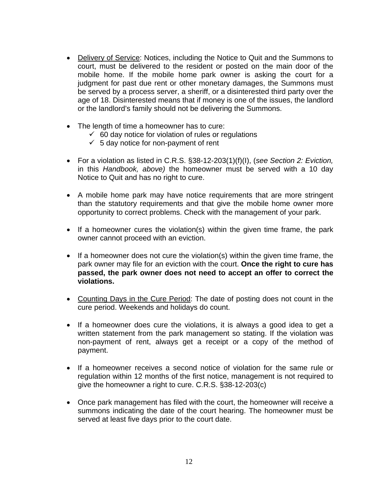- Delivery of Service: Notices, including the Notice to Quit and the Summons to court, must be delivered to the resident or posted on the main door of the mobile home. If the mobile home park owner is asking the court for a judgment for past due rent or other monetary damages, the Summons must be served by a process server, a sheriff, or a disinterested third party over the age of 18. Disinterested means that if money is one of the issues, the landlord or the landlord's family should not be delivering the Summons.
- The length of time a homeowner has to cure:
	- $\checkmark$  60 day notice for violation of rules or regulations
	- $\checkmark$  5 day notice for non-payment of rent
- For a violation as listed in C.R.S. §38-12-203(1)(f)(I), (*see Section 2: Eviction,*  in this *Handbook, above)* the homeowner must be served with a 10 day Notice to Quit and has no right to cure.
- A mobile home park may have notice requirements that are more stringent than the statutory requirements and that give the mobile home owner more opportunity to correct problems. Check with the management of your park.
- If a homeowner cures the violation(s) within the given time frame, the park owner cannot proceed with an eviction.
- If a homeowner does not cure the violation(s) within the given time frame, the park owner may file for an eviction with the court. **Once the right to cure has passed, the park owner does not need to accept an offer to correct the violations.**
- Counting Days in the Cure Period: The date of posting does not count in the cure period. Weekends and holidays do count.
- If a homeowner does cure the violations, it is always a good idea to get a written statement from the park management so stating. If the violation was non-payment of rent, always get a receipt or a copy of the method of payment.
- If a homeowner receives a second notice of violation for the same rule or regulation within 12 months of the first notice, management is not required to give the homeowner a right to cure. C.R.S. §38-12-203(c)
- Once park management has filed with the court, the homeowner will receive a summons indicating the date of the court hearing. The homeowner must be served at least five days prior to the court date.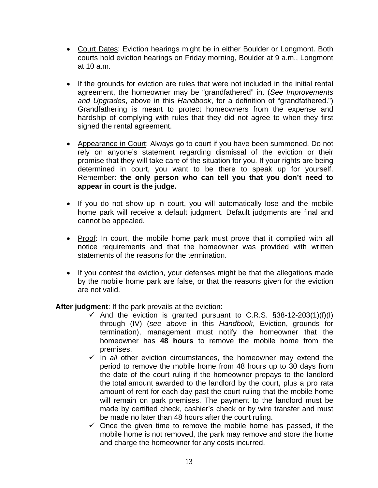- Court Dates: Eviction hearings might be in either Boulder or Longmont. Both courts hold eviction hearings on Friday morning, Boulder at 9 a.m., Longmont at 10 a.m.
- If the grounds for eviction are rules that were not included in the initial rental agreement, the homeowner may be "grandfathered" in. (*See Improvements and Upgrades*, above in this *Handbook*, for a definition of "grandfathered.") Grandfathering is meant to protect homeowners from the expense and hardship of complying with rules that they did not agree to when they first signed the rental agreement.
- Appearance in Court: Always go to court if you have been summoned. Do not rely on anyone's statement regarding dismissal of the eviction or their promise that they will take care of the situation for you. If your rights are being determined in court, you want to be there to speak up for yourself. Remember: **the only person who can tell you that you don't need to appear in court is the judge.**
- If you do not show up in court, you will automatically lose and the mobile home park will receive a default judgment. Default judgments are final and cannot be appealed.
- Proof: In court, the mobile home park must prove that it complied with all notice requirements and that the homeowner was provided with written statements of the reasons for the termination.
- If you contest the eviction, your defenses might be that the allegations made by the mobile home park are false, or that the reasons given for the eviction are not valid.

**After judgment**: If the park prevails at the eviction:

- $\checkmark$  And the eviction is granted pursuant to C.R.S. §38-12-203(1)(f)(I) through (IV) (*see above* in this *Handbook*, Eviction, grounds for termination), management must notify the homeowner that the homeowner has **48 hours** to remove the mobile home from the premises.
- $\checkmark$  In *all* other eviction circumstances, the homeowner may extend the period to remove the mobile home from 48 hours up to 30 days from the date of the court ruling if the homeowner prepays to the landlord the total amount awarded to the landlord by the court, plus a pro rata amount of rent for each day past the court ruling that the mobile home will remain on park premises. The payment to the landlord must be made by certified check, cashier's check or by wire transfer and must be made no later than 48 hours after the court ruling.
- $\checkmark$  Once the given time to remove the mobile home has passed, if the mobile home is not removed, the park may remove and store the home and charge the homeowner for any costs incurred.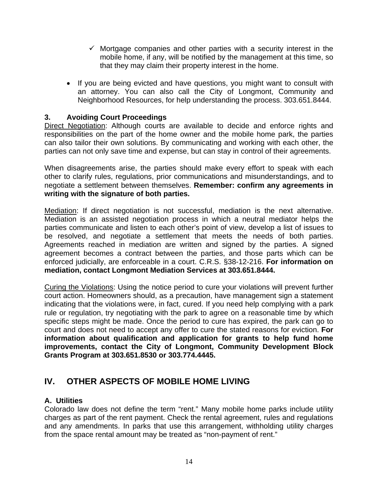- $\checkmark$  Mortgage companies and other parties with a security interest in the mobile home, if any, will be notified by the management at this time, so that they may claim their property interest in the home.
- If you are being evicted and have questions, you might want to consult with an attorney. You can also call the City of Longmont, Community and Neighborhood Resources, for help understanding the process. 303.651.8444.

#### **3. Avoiding Court Proceedings**

Direct Negotiation: Although courts are available to decide and enforce rights and responsibilities on the part of the home owner and the mobile home park, the parties can also tailor their own solutions. By communicating and working with each other, the parties can not only save time and expense, but can stay in control of their agreements.

When disagreements arise, the parties should make every effort to speak with each other to clarify rules, regulations, prior communications and misunderstandings, and to negotiate a settlement between themselves. **Remember: confirm any agreements in writing with the signature of both parties.** 

Mediation: If direct negotiation is not successful, mediation is the next alternative. Mediation is an assisted negotiation process in which a neutral mediator helps the parties communicate and listen to each other's point of view, develop a list of issues to be resolved, and negotiate a settlement that meets the needs of both parties. Agreements reached in mediation are written and signed by the parties. A signed agreement becomes a contract between the parties, and those parts which can be enforced judicially, are enforceable in a court. C.R.S. §38-12-216. **For information on mediation, contact Longmont Mediation Services at 303.651.8444.**

Curing the Violations: Using the notice period to cure your violations will prevent further court action. Homeowners should, as a precaution, have management sign a statement indicating that the violations were, in fact, cured. If you need help complying with a park rule or regulation, try negotiating with the park to agree on a reasonable time by which specific steps might be made. Once the period to cure has expired, the park can go to court and does not need to accept any offer to cure the stated reasons for eviction. **For information about qualification and application for grants to help fund home improvements, contact the City of Longmont, Community Development Block Grants Program at 303.651.8530 or 303.774.4445.** 

## **IV. OTHER ASPECTS OF MOBILE HOME LIVING**

#### **A. Utilities**

Colorado law does not define the term "rent." Many mobile home parks include utility charges as part of the rent payment. Check the rental agreement, rules and regulations and any amendments. In parks that use this arrangement, withholding utility charges from the space rental amount may be treated as "non-payment of rent."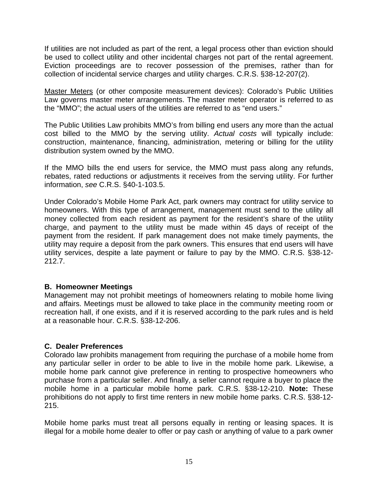If utilities are not included as part of the rent, a legal process other than eviction should be used to collect utility and other incidental charges not part of the rental agreement. Eviction proceedings are to recover possession of the premises, rather than for collection of incidental service charges and utility charges. C.R.S. §38-12-207(2).

Master Meters (or other composite measurement devices): Colorado's Public Utilities Law governs master meter arrangements. The master meter operator is referred to as the "MMO"; the actual users of the utilities are referred to as "end users."

The Public Utilities Law prohibits MMO's from billing end users any more than the actual cost billed to the MMO by the serving utility. *Actual costs* will typically include: construction, maintenance, financing, administration, metering or billing for the utility distribution system owned by the MMO.

If the MMO bills the end users for service, the MMO must pass along any refunds, rebates, rated reductions or adjustments it receives from the serving utility. For further information, *see* C.R.S. §40-1-103.5.

Under Colorado's Mobile Home Park Act, park owners may contract for utility service to homeowners. With this type of arrangement, management must send to the utility all money collected from each resident as payment for the resident's share of the utility charge, and payment to the utility must be made within 45 days of receipt of the payment from the resident. If park management does not make timely payments, the utility may require a deposit from the park owners. This ensures that end users will have utility services, despite a late payment or failure to pay by the MMO. C.R.S. §38-12- 212.7.

#### **B. Homeowner Meetings**

Management may not prohibit meetings of homeowners relating to mobile home living and affairs. Meetings must be allowed to take place in the community meeting room or recreation hall, if one exists, and if it is reserved according to the park rules and is held at a reasonable hour. C.R.S. §38-12-206.

#### **C. Dealer Preferences**

Colorado law prohibits management from requiring the purchase of a mobile home from any particular seller in order to be able to live in the mobile home park. Likewise, a mobile home park cannot give preference in renting to prospective homeowners who purchase from a particular seller. And finally, a seller cannot require a buyer to place the mobile home in a particular mobile home park. C.R.S. §38-12-210. **Note:** These prohibitions do not apply to first time renters in new mobile home parks. C.R.S. §38-12- 215.

Mobile home parks must treat all persons equally in renting or leasing spaces. It is illegal for a mobile home dealer to offer or pay cash or anything of value to a park owner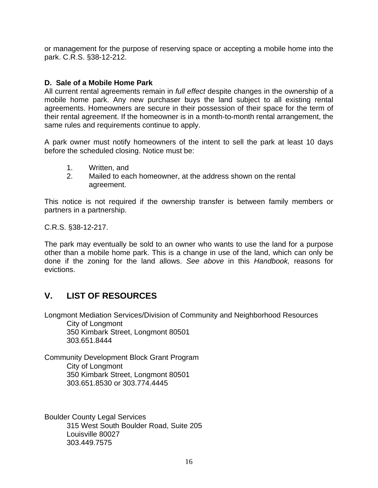or management for the purpose of reserving space or accepting a mobile home into the park. C.R.S. §38-12-212.

#### **D. Sale of a Mobile Home Park**

All current rental agreements remain in *full effect* despite changes in the ownership of a mobile home park. Any new purchaser buys the land subject to all existing rental agreements. Homeowners are secure in their possession of their space for the term of their rental agreement. If the homeowner is in a month-to-month rental arrangement, the same rules and requirements continue to apply.

A park owner must notify homeowners of the intent to sell the park at least 10 days before the scheduled closing. Notice must be:

- 1. Written, and
- 2. Mailed to each homeowner, at the address shown on the rental agreement.

This notice is not required if the ownership transfer is between family members or partners in a partnership.

C.R.S. §38-12-217.

The park may eventually be sold to an owner who wants to use the land for a purpose other than a mobile home park. This is a change in use of the land, which can only be done if the zoning for the land allows. *See above* in this *Handbook,* reasons for evictions.

## **V. LIST OF RESOURCES**

Longmont Mediation Services/Division of Community and Neighborhood Resources

 City of Longmont 350 Kimbark Street, Longmont 80501 303.651.8444

Community Development Block Grant Program City of Longmont 350 Kimbark Street, Longmont 80501 303.651.8530 or 303.774.4445

Boulder County Legal Services 315 West South Boulder Road, Suite 205 Louisville 80027 303.449.7575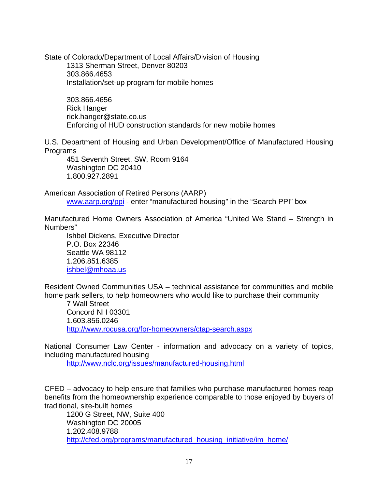State of Colorado/Department of Local Affairs/Division of Housing 1313 Sherman Street, Denver 80203 303.866.4653 Installation/set-up program for mobile homes

> 303.866.4656 Rick Hanger rick.hanger@state.co.us Enforcing of HUD construction standards for new mobile homes

U.S. Department of Housing and Urban Development/Office of Manufactured Housing Programs

 451 Seventh Street, SW, Room 9164 Washington DC 20410 1.800.927.2891

American Association of Retired Persons (AARP) www.aarp.org/ppi - enter "manufactured housing" in the "Search PPI" box

Manufactured Home Owners Association of America "United We Stand – Strength in Numbers"

 Ishbel Dickens, Executive Director P.O. Box 22346 Seattle WA 98112 1.206.851.6385 ishbel@mhoaa.us

Resident Owned Communities USA – technical assistance for communities and mobile home park sellers, to help homeowners who would like to purchase their community

 7 Wall Street Concord NH 03301 1.603.856.0246 http://www.rocusa.org/for-homeowners/ctap-search.aspx

National Consumer Law Center - information and advocacy on a variety of topics, including manufactured housing

http://www.nclc.org/issues/manufactured-housing.html

CFED – advocacy to help ensure that families who purchase manufactured homes reap benefits from the homeownership experience comparable to those enjoyed by buyers of traditional, site-built homes

 1200 G Street, NW, Suite 400 Washington DC 20005 1.202.408.9788 http://cfed.org/programs/manufactured housing initiative/im home/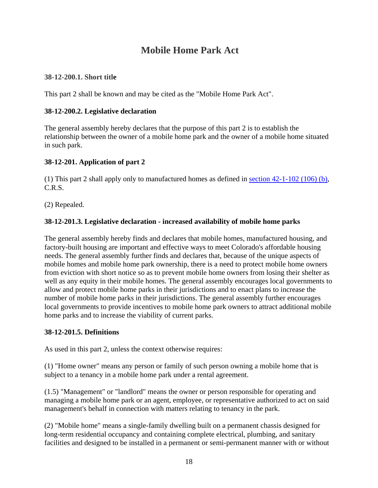# **Mobile Home Park Act**

#### **38-12-200.1. Short title**

This part 2 shall be known and may be cited as the "Mobile Home Park Act".

#### **38-12-200.2. Legislative declaration**

The general assembly hereby declares that the purpose of this part 2 is to establish the relationship between the owner of a mobile home park and the owner of a mobile home situated in such park.

#### **38-12-201. Application of part 2**

(1) This part 2 shall apply only to manufactured homes as defined in section 42-1-102 (106) (b), C.R.S.

(2) Repealed.

#### **38-12-201.3. Legislative declaration - increased availability of mobile home parks**

The general assembly hereby finds and declares that mobile homes, manufactured housing, and factory-built housing are important and effective ways to meet Colorado's affordable housing needs. The general assembly further finds and declares that, because of the unique aspects of mobile homes and mobile home park ownership, there is a need to protect mobile home owners from eviction with short notice so as to prevent mobile home owners from losing their shelter as well as any equity in their mobile homes. The general assembly encourages local governments to allow and protect mobile home parks in their jurisdictions and to enact plans to increase the number of mobile home parks in their jurisdictions. The general assembly further encourages local governments to provide incentives to mobile home park owners to attract additional mobile home parks and to increase the viability of current parks.

#### **38-12-201.5. Definitions**

As used in this part 2, unless the context otherwise requires:

(1) "Home owner" means any person or family of such person owning a mobile home that is subject to a tenancy in a mobile home park under a rental agreement.

(1.5) "Management" or "landlord" means the owner or person responsible for operating and managing a mobile home park or an agent, employee, or representative authorized to act on said management's behalf in connection with matters relating to tenancy in the park.

(2) "Mobile home" means a single-family dwelling built on a permanent chassis designed for long-term residential occupancy and containing complete electrical, plumbing, and sanitary facilities and designed to be installed in a permanent or semi-permanent manner with or without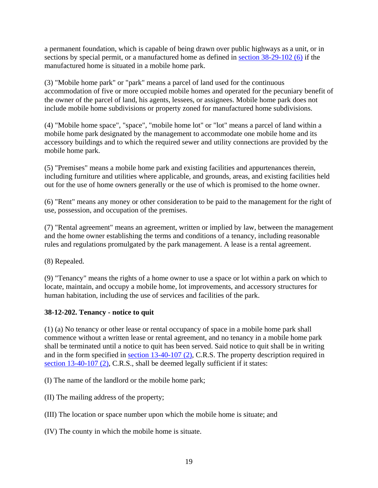a permanent foundation, which is capable of being drawn over public highways as a unit, or in sections by special permit, or a manufactured home as defined in section 38-29-102 (6) if the manufactured home is situated in a mobile home park.

(3) "Mobile home park" or "park" means a parcel of land used for the continuous accommodation of five or more occupied mobile homes and operated for the pecuniary benefit of the owner of the parcel of land, his agents, lessees, or assignees. Mobile home park does not include mobile home subdivisions or property zoned for manufactured home subdivisions.

(4) "Mobile home space", "space", "mobile home lot" or "lot" means a parcel of land within a mobile home park designated by the management to accommodate one mobile home and its accessory buildings and to which the required sewer and utility connections are provided by the mobile home park.

(5) "Premises" means a mobile home park and existing facilities and appurtenances therein, including furniture and utilities where applicable, and grounds, areas, and existing facilities held out for the use of home owners generally or the use of which is promised to the home owner.

(6) "Rent" means any money or other consideration to be paid to the management for the right of use, possession, and occupation of the premises.

(7) "Rental agreement" means an agreement, written or implied by law, between the management and the home owner establishing the terms and conditions of a tenancy, including reasonable rules and regulations promulgated by the park management. A lease is a rental agreement.

(8) Repealed.

(9) "Tenancy" means the rights of a home owner to use a space or lot within a park on which to locate, maintain, and occupy a mobile home, lot improvements, and accessory structures for human habitation, including the use of services and facilities of the park.

#### **38-12-202. Tenancy - notice to quit**

(1) (a) No tenancy or other lease or rental occupancy of space in a mobile home park shall commence without a written lease or rental agreement, and no tenancy in a mobile home park shall be terminated until a notice to quit has been served. Said notice to quit shall be in writing and in the form specified in section 13-40-107 (2), C.R.S. The property description required in section 13-40-107 (2), C.R.S., shall be deemed legally sufficient if it states:

- (I) The name of the landlord or the mobile home park;
- (II) The mailing address of the property;
- (III) The location or space number upon which the mobile home is situate; and
- (IV) The county in which the mobile home is situate.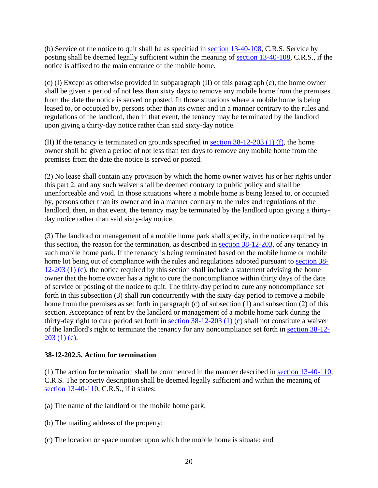(b) Service of the notice to quit shall be as specified in section 13-40-108, C.R.S. Service by posting shall be deemed legally sufficient within the meaning of section 13-40-108, C.R.S., if the notice is affixed to the main entrance of the mobile home.

(c) (I) Except as otherwise provided in subparagraph (II) of this paragraph (c), the home owner shall be given a period of not less than sixty days to remove any mobile home from the premises from the date the notice is served or posted. In those situations where a mobile home is being leased to, or occupied by, persons other than its owner and in a manner contrary to the rules and regulations of the landlord, then in that event, the tenancy may be terminated by the landlord upon giving a thirty-day notice rather than said sixty-day notice.

(II) If the tenancy is terminated on grounds specified in section 38-12-203 (1) (f), the home owner shall be given a period of not less than ten days to remove any mobile home from the premises from the date the notice is served or posted.

(2) No lease shall contain any provision by which the home owner waives his or her rights under this part 2, and any such waiver shall be deemed contrary to public policy and shall be unenforceable and void. In those situations where a mobile home is being leased to, or occupied by, persons other than its owner and in a manner contrary to the rules and regulations of the landlord, then, in that event, the tenancy may be terminated by the landlord upon giving a thirtyday notice rather than said sixty-day notice.

(3) The landlord or management of a mobile home park shall specify, in the notice required by this section, the reason for the termination, as described in section 38-12-203, of any tenancy in such mobile home park. If the tenancy is being terminated based on the mobile home or mobile home lot being out of compliance with the rules and regulations adopted pursuant to section 38- 12-203 (1) (c), the notice required by this section shall include a statement advising the home owner that the home owner has a right to cure the noncompliance within thirty days of the date of service or posting of the notice to quit. The thirty-day period to cure any noncompliance set forth in this subsection (3) shall run concurrently with the sixty-day period to remove a mobile home from the premises as set forth in paragraph (c) of subsection (1) and subsection (2) of this section. Acceptance of rent by the landlord or management of a mobile home park during the thirty-day right to cure period set forth in section 38-12-203 (1) (c) shall not constitute a waiver of the landlord's right to terminate the tenancy for any noncompliance set forth in section 38-12-  $203(1)(c)$ .

#### **38-12-202.5. Action for termination**

(1) The action for termination shall be commenced in the manner described in section 13-40-110, C.R.S. The property description shall be deemed legally sufficient and within the meaning of section 13-40-110, C.R.S., if it states:

(a) The name of the landlord or the mobile home park;

- (b) The mailing address of the property;
- (c) The location or space number upon which the mobile home is situate; and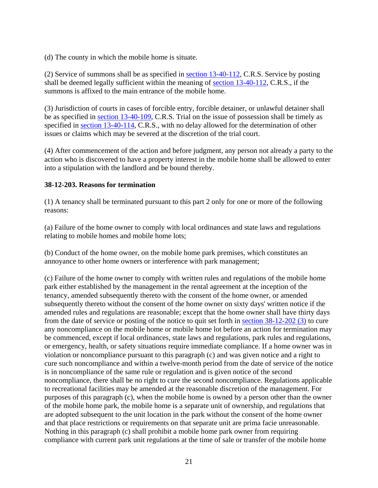(d) The county in which the mobile home is situate.

(2) Service of summons shall be as specified in section 13-40-112, C.R.S. Service by posting shall be deemed legally sufficient within the meaning of section 13-40-112, C.R.S., if the summons is affixed to the main entrance of the mobile home.

(3) Jurisdiction of courts in cases of forcible entry, forcible detainer, or unlawful detainer shall be as specified in section 13-40-109, C.R.S. Trial on the issue of possession shall be timely as specified in section 13-40-114, C.R.S., with no delay allowed for the determination of other issues or claims which may be severed at the discretion of the trial court.

(4) After commencement of the action and before judgment, any person not already a party to the action who is discovered to have a property interest in the mobile home shall be allowed to enter into a stipulation with the landlord and be bound thereby.

#### **38-12-203. Reasons for termination**

(1) A tenancy shall be terminated pursuant to this part 2 only for one or more of the following reasons:

(a) Failure of the home owner to comply with local ordinances and state laws and regulations relating to mobile homes and mobile home lots;

(b) Conduct of the home owner, on the mobile home park premises, which constitutes an annoyance to other home owners or interference with park management;

(c) Failure of the home owner to comply with written rules and regulations of the mobile home park either established by the management in the rental agreement at the inception of the tenancy, amended subsequently thereto with the consent of the home owner, or amended subsequently thereto without the consent of the home owner on sixty days' written notice if the amended rules and regulations are reasonable; except that the home owner shall have thirty days from the date of service or posting of the notice to quit set forth in section 38-12-202 (3) to cure any noncompliance on the mobile home or mobile home lot before an action for termination may be commenced, except if local ordinances, state laws and regulations, park rules and regulations, or emergency, health, or safety situations require immediate compliance. If a home owner was in violation or noncompliance pursuant to this paragraph (c) and was given notice and a right to cure such noncompliance and within a twelve-month period from the date of service of the notice is in noncompliance of the same rule or regulation and is given notice of the second noncompliance, there shall be no right to cure the second noncompliance. Regulations applicable to recreational facilities may be amended at the reasonable discretion of the management. For purposes of this paragraph (c), when the mobile home is owned by a person other than the owner of the mobile home park, the mobile home is a separate unit of ownership, and regulations that are adopted subsequent to the unit location in the park without the consent of the home owner and that place restrictions or requirements on that separate unit are prima facie unreasonable. Nothing in this paragraph (c) shall prohibit a mobile home park owner from requiring compliance with current park unit regulations at the time of sale or transfer of the mobile home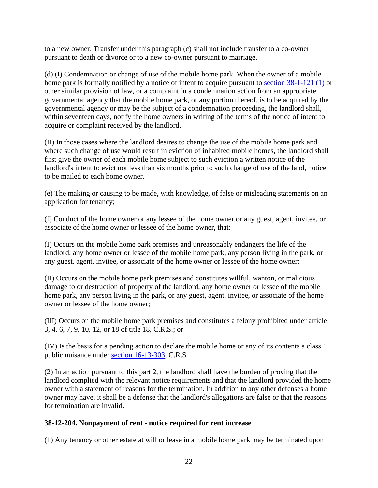to a new owner. Transfer under this paragraph (c) shall not include transfer to a co-owner pursuant to death or divorce or to a new co-owner pursuant to marriage.

(d) (I) Condemnation or change of use of the mobile home park. When the owner of a mobile home park is formally notified by a notice of intent to acquire pursuant to section 38-1-121 (1) or other similar provision of law, or a complaint in a condemnation action from an appropriate governmental agency that the mobile home park, or any portion thereof, is to be acquired by the governmental agency or may be the subject of a condemnation proceeding, the landlord shall, within seventeen days, notify the home owners in writing of the terms of the notice of intent to acquire or complaint received by the landlord.

(II) In those cases where the landlord desires to change the use of the mobile home park and where such change of use would result in eviction of inhabited mobile homes, the landlord shall first give the owner of each mobile home subject to such eviction a written notice of the landlord's intent to evict not less than six months prior to such change of use of the land, notice to be mailed to each home owner.

(e) The making or causing to be made, with knowledge, of false or misleading statements on an application for tenancy;

(f) Conduct of the home owner or any lessee of the home owner or any guest, agent, invitee, or associate of the home owner or lessee of the home owner, that:

(I) Occurs on the mobile home park premises and unreasonably endangers the life of the landlord, any home owner or lessee of the mobile home park, any person living in the park, or any guest, agent, invitee, or associate of the home owner or lessee of the home owner;

(II) Occurs on the mobile home park premises and constitutes willful, wanton, or malicious damage to or destruction of property of the landlord, any home owner or lessee of the mobile home park, any person living in the park, or any guest, agent, invitee, or associate of the home owner or lessee of the home owner;

(III) Occurs on the mobile home park premises and constitutes a felony prohibited under article 3, 4, 6, 7, 9, 10, 12, or 18 of title 18, C.R.S.; or

(IV) Is the basis for a pending action to declare the mobile home or any of its contents a class 1 public nuisance under section 16-13-303, C.R.S.

(2) In an action pursuant to this part 2, the landlord shall have the burden of proving that the landlord complied with the relevant notice requirements and that the landlord provided the home owner with a statement of reasons for the termination. In addition to any other defenses a home owner may have, it shall be a defense that the landlord's allegations are false or that the reasons for termination are invalid.

#### **38-12-204. Nonpayment of rent - notice required for rent increase**

(1) Any tenancy or other estate at will or lease in a mobile home park may be terminated upon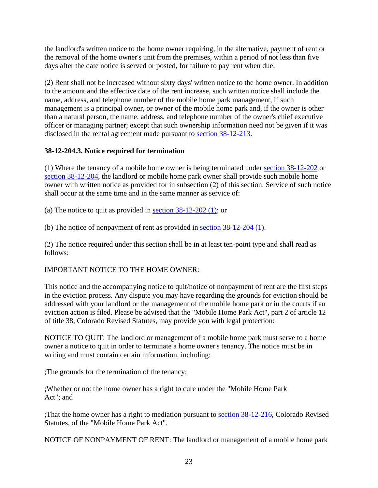the landlord's written notice to the home owner requiring, in the alternative, payment of rent or the removal of the home owner's unit from the premises, within a period of not less than five days after the date notice is served or posted, for failure to pay rent when due.

(2) Rent shall not be increased without sixty days' written notice to the home owner. In addition to the amount and the effective date of the rent increase, such written notice shall include the name, address, and telephone number of the mobile home park management, if such management is a principal owner, or owner of the mobile home park and, if the owner is other than a natural person, the name, address, and telephone number of the owner's chief executive officer or managing partner; except that such ownership information need not be given if it was disclosed in the rental agreement made pursuant to section 38-12-213.

#### **38-12-204.3. Notice required for termination**

(1) Where the tenancy of a mobile home owner is being terminated under section 38-12-202 or section 38-12-204, the landlord or mobile home park owner shall provide such mobile home owner with written notice as provided for in subsection (2) of this section. Service of such notice shall occur at the same time and in the same manner as service of:

(a) The notice to quit as provided in section 38-12-202 (1); or

(b) The notice of nonpayment of rent as provided in section 38-12-204 (1).

(2) The notice required under this section shall be in at least ten-point type and shall read as follows:

#### IMPORTANT NOTICE TO THE HOME OWNER:

This notice and the accompanying notice to quit/notice of nonpayment of rent are the first steps in the eviction process. Any dispute you may have regarding the grounds for eviction should be addressed with your landlord or the management of the mobile home park or in the courts if an eviction action is filed. Please be advised that the "Mobile Home Park Act", part 2 of article 12 of title 38, Colorado Revised Statutes, may provide you with legal protection:

NOTICE TO QUIT: The landlord or management of a mobile home park must serve to a home owner a notice to quit in order to terminate a home owner's tenancy. The notice must be in writing and must contain certain information, including:

;The grounds for the termination of the tenancy;

;Whether or not the home owner has a right to cure under the "Mobile Home Park Act"; and

;That the home owner has a right to mediation pursuant to section 38-12-216, Colorado Revised Statutes, of the "Mobile Home Park Act".

NOTICE OF NONPAYMENT OF RENT: The landlord or management of a mobile home park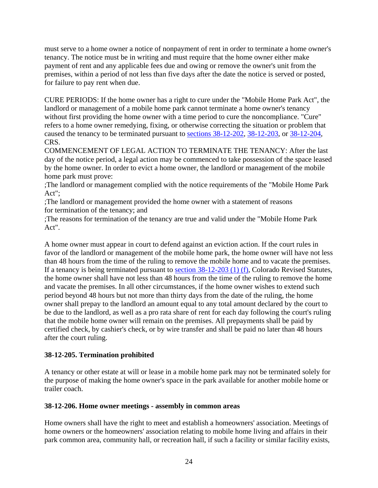must serve to a home owner a notice of nonpayment of rent in order to terminate a home owner's tenancy. The notice must be in writing and must require that the home owner either make payment of rent and any applicable fees due and owing or remove the owner's unit from the premises, within a period of not less than five days after the date the notice is served or posted, for failure to pay rent when due.

CURE PERIODS: If the home owner has a right to cure under the "Mobile Home Park Act", the landlord or management of a mobile home park cannot terminate a home owner's tenancy without first providing the home owner with a time period to cure the noncompliance. "Cure" refers to a home owner remedying, fixing, or otherwise correcting the situation or problem that caused the tenancy to be terminated pursuant to sections 38-12-202, 38-12-203, or 38-12-204, CRS.

COMMENCEMENT OF LEGAL ACTION TO TERMINATE THE TENANCY: After the last day of the notice period, a legal action may be commenced to take possession of the space leased by the home owner. In order to evict a home owner, the landlord or management of the mobile home park must prove:

;The landlord or management complied with the notice requirements of the "Mobile Home Park Act";

;The landlord or management provided the home owner with a statement of reasons for termination of the tenancy; and

;The reasons for termination of the tenancy are true and valid under the "Mobile Home Park Act".

A home owner must appear in court to defend against an eviction action. If the court rules in favor of the landlord or management of the mobile home park, the home owner will have not less than 48 hours from the time of the ruling to remove the mobile home and to vacate the premises. If a tenancy is being terminated pursuant to section 38-12-203 (1) (f), Colorado Revised Statutes, the home owner shall have not less than 48 hours from the time of the ruling to remove the home and vacate the premises. In all other circumstances, if the home owner wishes to extend such period beyond 48 hours but not more than thirty days from the date of the ruling, the home owner shall prepay to the landlord an amount equal to any total amount declared by the court to be due to the landlord, as well as a pro rata share of rent for each day following the court's ruling that the mobile home owner will remain on the premises. All prepayments shall be paid by certified check, by cashier's check, or by wire transfer and shall be paid no later than 48 hours after the court ruling.

#### **38-12-205. Termination prohibited**

A tenancy or other estate at will or lease in a mobile home park may not be terminated solely for the purpose of making the home owner's space in the park available for another mobile home or trailer coach.

#### **38-12-206. Home owner meetings - assembly in common areas**

Home owners shall have the right to meet and establish a homeowners' association. Meetings of home owners or the homeowners' association relating to mobile home living and affairs in their park common area, community hall, or recreation hall, if such a facility or similar facility exists,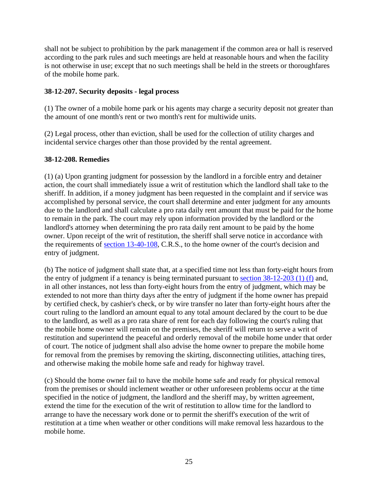shall not be subject to prohibition by the park management if the common area or hall is reserved according to the park rules and such meetings are held at reasonable hours and when the facility is not otherwise in use; except that no such meetings shall be held in the streets or thoroughfares of the mobile home park.

#### **38-12-207. Security deposits - legal process**

(1) The owner of a mobile home park or his agents may charge a security deposit not greater than the amount of one month's rent or two month's rent for multiwide units.

(2) Legal process, other than eviction, shall be used for the collection of utility charges and incidental service charges other than those provided by the rental agreement.

#### **38-12-208. Remedies**

(1) (a) Upon granting judgment for possession by the landlord in a forcible entry and detainer action, the court shall immediately issue a writ of restitution which the landlord shall take to the sheriff. In addition, if a money judgment has been requested in the complaint and if service was accomplished by personal service, the court shall determine and enter judgment for any amounts due to the landlord and shall calculate a pro rata daily rent amount that must be paid for the home to remain in the park. The court may rely upon information provided by the landlord or the landlord's attorney when determining the pro rata daily rent amount to be paid by the home owner. Upon receipt of the writ of restitution, the sheriff shall serve notice in accordance with the requirements of section 13-40-108, C.R.S., to the home owner of the court's decision and entry of judgment.

(b) The notice of judgment shall state that, at a specified time not less than forty-eight hours from the entry of judgment if a tenancy is being terminated pursuant to <u>section  $38-12-203$  (1) (f)</u> and, in all other instances, not less than forty-eight hours from the entry of judgment, which may be extended to not more than thirty days after the entry of judgment if the home owner has prepaid by certified check, by cashier's check, or by wire transfer no later than forty-eight hours after the court ruling to the landlord an amount equal to any total amount declared by the court to be due to the landlord, as well as a pro rata share of rent for each day following the court's ruling that the mobile home owner will remain on the premises, the sheriff will return to serve a writ of restitution and superintend the peaceful and orderly removal of the mobile home under that order of court. The notice of judgment shall also advise the home owner to prepare the mobile home for removal from the premises by removing the skirting, disconnecting utilities, attaching tires, and otherwise making the mobile home safe and ready for highway travel.

(c) Should the home owner fail to have the mobile home safe and ready for physical removal from the premises or should inclement weather or other unforeseen problems occur at the time specified in the notice of judgment, the landlord and the sheriff may, by written agreement, extend the time for the execution of the writ of restitution to allow time for the landlord to arrange to have the necessary work done or to permit the sheriff's execution of the writ of restitution at a time when weather or other conditions will make removal less hazardous to the mobile home.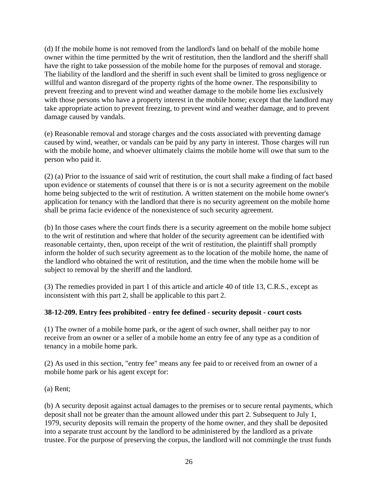(d) If the mobile home is not removed from the landlord's land on behalf of the mobile home owner within the time permitted by the writ of restitution, then the landlord and the sheriff shall have the right to take possession of the mobile home for the purposes of removal and storage. The liability of the landlord and the sheriff in such event shall be limited to gross negligence or willful and wanton disregard of the property rights of the home owner. The responsibility to prevent freezing and to prevent wind and weather damage to the mobile home lies exclusively with those persons who have a property interest in the mobile home; except that the landlord may take appropriate action to prevent freezing, to prevent wind and weather damage, and to prevent damage caused by vandals.

(e) Reasonable removal and storage charges and the costs associated with preventing damage caused by wind, weather, or vandals can be paid by any party in interest. Those charges will run with the mobile home, and whoever ultimately claims the mobile home will owe that sum to the person who paid it.

(2) (a) Prior to the issuance of said writ of restitution, the court shall make a finding of fact based upon evidence or statements of counsel that there is or is not a security agreement on the mobile home being subjected to the writ of restitution. A written statement on the mobile home owner's application for tenancy with the landlord that there is no security agreement on the mobile home shall be prima facie evidence of the nonexistence of such security agreement.

(b) In those cases where the court finds there is a security agreement on the mobile home subject to the writ of restitution and where that holder of the security agreement can be identified with reasonable certainty, then, upon receipt of the writ of restitution, the plaintiff shall promptly inform the holder of such security agreement as to the location of the mobile home, the name of the landlord who obtained the writ of restitution, and the time when the mobile home will be subject to removal by the sheriff and the landlord.

(3) The remedies provided in part 1 of this article and article 40 of title 13, C.R.S., except as inconsistent with this part 2, shall be applicable to this part 2.

#### **38-12-209. Entry fees prohibited - entry fee defined - security deposit - court costs**

(1) The owner of a mobile home park, or the agent of such owner, shall neither pay to nor receive from an owner or a seller of a mobile home an entry fee of any type as a condition of tenancy in a mobile home park.

(2) As used in this section, "entry fee" means any fee paid to or received from an owner of a mobile home park or his agent except for:

(a) Rent;

(b) A security deposit against actual damages to the premises or to secure rental payments, which deposit shall not be greater than the amount allowed under this part 2. Subsequent to July 1, 1979, security deposits will remain the property of the home owner, and they shall be deposited into a separate trust account by the landlord to be administered by the landlord as a private trustee. For the purpose of preserving the corpus, the landlord will not commingle the trust funds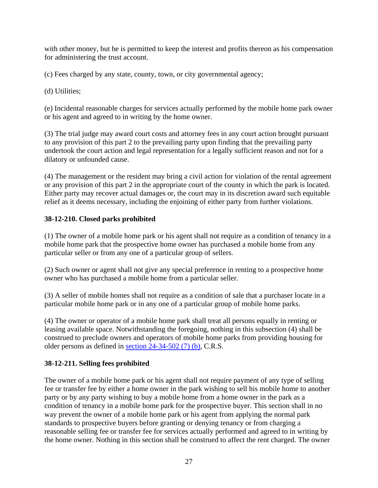with other money, but he is permitted to keep the interest and profits thereon as his compensation for administering the trust account.

(c) Fees charged by any state, county, town, or city governmental agency;

(d) Utilities;

(e) Incidental reasonable charges for services actually performed by the mobile home park owner or his agent and agreed to in writing by the home owner.

(3) The trial judge may award court costs and attorney fees in any court action brought pursuant to any provision of this part 2 to the prevailing party upon finding that the prevailing party undertook the court action and legal representation for a legally sufficient reason and not for a dilatory or unfounded cause.

(4) The management or the resident may bring a civil action for violation of the rental agreement or any provision of this part 2 in the appropriate court of the county in which the park is located. Either party may recover actual damages or, the court may in its discretion award such equitable relief as it deems necessary, including the enjoining of either party from further violations.

#### **38-12-210. Closed parks prohibited**

(1) The owner of a mobile home park or his agent shall not require as a condition of tenancy in a mobile home park that the prospective home owner has purchased a mobile home from any particular seller or from any one of a particular group of sellers.

(2) Such owner or agent shall not give any special preference in renting to a prospective home owner who has purchased a mobile home from a particular seller.

(3) A seller of mobile homes shall not require as a condition of sale that a purchaser locate in a particular mobile home park or in any one of a particular group of mobile home parks.

(4) The owner or operator of a mobile home park shall treat all persons equally in renting or leasing available space. Notwithstanding the foregoing, nothing in this subsection (4) shall be construed to preclude owners and operators of mobile home parks from providing housing for older persons as defined in section 24-34-502 (7) (b), C.R.S.

#### **38-12-211. Selling fees prohibited**

The owner of a mobile home park or his agent shall not require payment of any type of selling fee or transfer fee by either a home owner in the park wishing to sell his mobile home to another party or by any party wishing to buy a mobile home from a home owner in the park as a condition of tenancy in a mobile home park for the prospective buyer. This section shall in no way prevent the owner of a mobile home park or his agent from applying the normal park standards to prospective buyers before granting or denying tenancy or from charging a reasonable selling fee or transfer fee for services actually performed and agreed to in writing by the home owner. Nothing in this section shall be construed to affect the rent charged. The owner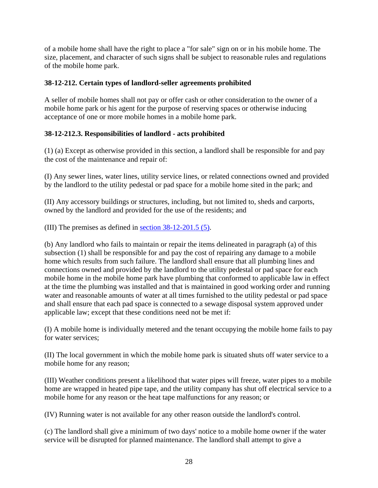of a mobile home shall have the right to place a "for sale" sign on or in his mobile home. The size, placement, and character of such signs shall be subject to reasonable rules and regulations of the mobile home park.

#### **38-12-212. Certain types of landlord-seller agreements prohibited**

A seller of mobile homes shall not pay or offer cash or other consideration to the owner of a mobile home park or his agent for the purpose of reserving spaces or otherwise inducing acceptance of one or more mobile homes in a mobile home park.

#### **38-12-212.3. Responsibilities of landlord - acts prohibited**

(1) (a) Except as otherwise provided in this section, a landlord shall be responsible for and pay the cost of the maintenance and repair of:

(I) Any sewer lines, water lines, utility service lines, or related connections owned and provided by the landlord to the utility pedestal or pad space for a mobile home sited in the park; and

(II) Any accessory buildings or structures, including, but not limited to, sheds and carports, owned by the landlord and provided for the use of the residents; and

(III) The premises as defined in section 38-12-201.5 (5).

(b) Any landlord who fails to maintain or repair the items delineated in paragraph (a) of this subsection (1) shall be responsible for and pay the cost of repairing any damage to a mobile home which results from such failure. The landlord shall ensure that all plumbing lines and connections owned and provided by the landlord to the utility pedestal or pad space for each mobile home in the mobile home park have plumbing that conformed to applicable law in effect at the time the plumbing was installed and that is maintained in good working order and running water and reasonable amounts of water at all times furnished to the utility pedestal or pad space and shall ensure that each pad space is connected to a sewage disposal system approved under applicable law; except that these conditions need not be met if:

(I) A mobile home is individually metered and the tenant occupying the mobile home fails to pay for water services;

(II) The local government in which the mobile home park is situated shuts off water service to a mobile home for any reason;

(III) Weather conditions present a likelihood that water pipes will freeze, water pipes to a mobile home are wrapped in heated pipe tape, and the utility company has shut off electrical service to a mobile home for any reason or the heat tape malfunctions for any reason; or

(IV) Running water is not available for any other reason outside the landlord's control.

(c) The landlord shall give a minimum of two days' notice to a mobile home owner if the water service will be disrupted for planned maintenance. The landlord shall attempt to give a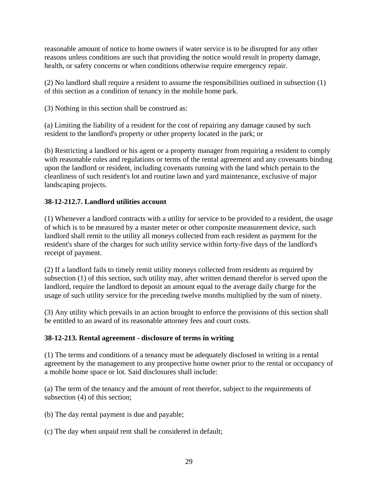reasonable amount of notice to home owners if water service is to be disrupted for any other reasons unless conditions are such that providing the notice would result in property damage, health, or safety concerns or when conditions otherwise require emergency repair.

(2) No landlord shall require a resident to assume the responsibilities outlined in subsection (1) of this section as a condition of tenancy in the mobile home park.

(3) Nothing in this section shall be construed as:

(a) Limiting the liability of a resident for the cost of repairing any damage caused by such resident to the landlord's property or other property located in the park; or

(b) Restricting a landlord or his agent or a property manager from requiring a resident to comply with reasonable rules and regulations or terms of the rental agreement and any covenants binding upon the landlord or resident, including covenants running with the land which pertain to the cleanliness of such resident's lot and routine lawn and yard maintenance, exclusive of major landscaping projects.

#### **38-12-212.7. Landlord utilities account**

(1) Whenever a landlord contracts with a utility for service to be provided to a resident, the usage of which is to be measured by a master meter or other composite measurement device, such landlord shall remit to the utility all moneys collected from each resident as payment for the resident's share of the charges for such utility service within forty-five days of the landlord's receipt of payment.

(2) If a landlord fails to timely remit utility moneys collected from residents as required by subsection (1) of this section, such utility may, after written demand therefor is served upon the landlord, require the landlord to deposit an amount equal to the average daily charge for the usage of such utility service for the preceding twelve months multiplied by the sum of ninety.

(3) Any utility which prevails in an action brought to enforce the provisions of this section shall be entitled to an award of its reasonable attorney fees and court costs.

#### **38-12-213. Rental agreement - disclosure of terms in writing**

(1) The terms and conditions of a tenancy must be adequately disclosed in writing in a rental agreement by the management to any prospective home owner prior to the rental or occupancy of a mobile home space or lot. Said disclosures shall include:

(a) The term of the tenancy and the amount of rent therefor, subject to the requirements of subsection (4) of this section;

(b) The day rental payment is due and payable;

(c) The day when unpaid rent shall be considered in default;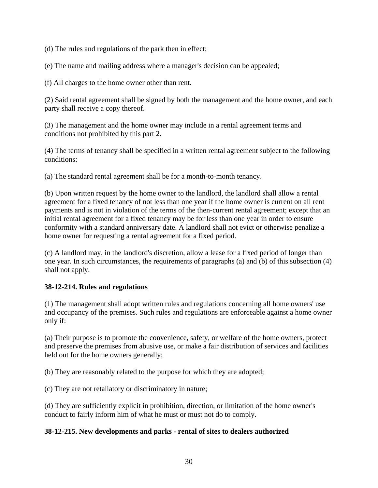(d) The rules and regulations of the park then in effect;

(e) The name and mailing address where a manager's decision can be appealed;

(f) All charges to the home owner other than rent.

(2) Said rental agreement shall be signed by both the management and the home owner, and each party shall receive a copy thereof.

(3) The management and the home owner may include in a rental agreement terms and conditions not prohibited by this part 2.

(4) The terms of tenancy shall be specified in a written rental agreement subject to the following conditions:

(a) The standard rental agreement shall be for a month-to-month tenancy.

(b) Upon written request by the home owner to the landlord, the landlord shall allow a rental agreement for a fixed tenancy of not less than one year if the home owner is current on all rent payments and is not in violation of the terms of the then-current rental agreement; except that an initial rental agreement for a fixed tenancy may be for less than one year in order to ensure conformity with a standard anniversary date. A landlord shall not evict or otherwise penalize a home owner for requesting a rental agreement for a fixed period.

(c) A landlord may, in the landlord's discretion, allow a lease for a fixed period of longer than one year. In such circumstances, the requirements of paragraphs (a) and (b) of this subsection (4) shall not apply.

#### **38-12-214. Rules and regulations**

(1) The management shall adopt written rules and regulations concerning all home owners' use and occupancy of the premises. Such rules and regulations are enforceable against a home owner only if:

(a) Their purpose is to promote the convenience, safety, or welfare of the home owners, protect and preserve the premises from abusive use, or make a fair distribution of services and facilities held out for the home owners generally;

(b) They are reasonably related to the purpose for which they are adopted;

(c) They are not retaliatory or discriminatory in nature;

(d) They are sufficiently explicit in prohibition, direction, or limitation of the home owner's conduct to fairly inform him of what he must or must not do to comply.

#### **38-12-215. New developments and parks - rental of sites to dealers authorized**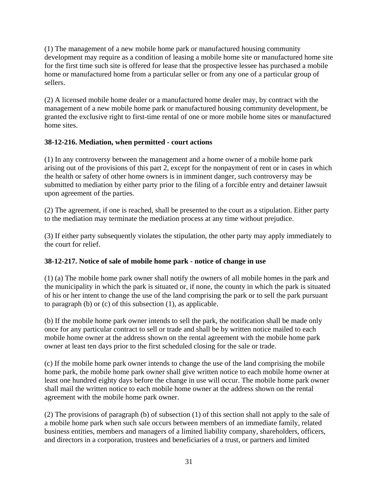(1) The management of a new mobile home park or manufactured housing community development may require as a condition of leasing a mobile home site or manufactured home site for the first time such site is offered for lease that the prospective lessee has purchased a mobile home or manufactured home from a particular seller or from any one of a particular group of sellers.

(2) A licensed mobile home dealer or a manufactured home dealer may, by contract with the management of a new mobile home park or manufactured housing community development, be granted the exclusive right to first-time rental of one or more mobile home sites or manufactured home sites.

#### **38-12-216. Mediation, when permitted - court actions**

(1) In any controversy between the management and a home owner of a mobile home park arising out of the provisions of this part 2, except for the nonpayment of rent or in cases in which the health or safety of other home owners is in imminent danger, such controversy may be submitted to mediation by either party prior to the filing of a forcible entry and detainer lawsuit upon agreement of the parties.

(2) The agreement, if one is reached, shall be presented to the court as a stipulation. Either party to the mediation may terminate the mediation process at any time without prejudice.

(3) If either party subsequently violates the stipulation, the other party may apply immediately to the court for relief.

#### **38-12-217. Notice of sale of mobile home park - notice of change in use**

(1) (a) The mobile home park owner shall notify the owners of all mobile homes in the park and the municipality in which the park is situated or, if none, the county in which the park is situated of his or her intent to change the use of the land comprising the park or to sell the park pursuant to paragraph (b) or (c) of this subsection (1), as applicable.

(b) If the mobile home park owner intends to sell the park, the notification shall be made only once for any particular contract to sell or trade and shall be by written notice mailed to each mobile home owner at the address shown on the rental agreement with the mobile home park owner at least ten days prior to the first scheduled closing for the sale or trade.

(c) If the mobile home park owner intends to change the use of the land comprising the mobile home park, the mobile home park owner shall give written notice to each mobile home owner at least one hundred eighty days before the change in use will occur. The mobile home park owner shall mail the written notice to each mobile home owner at the address shown on the rental agreement with the mobile home park owner.

(2) The provisions of paragraph (b) of subsection (1) of this section shall not apply to the sale of a mobile home park when such sale occurs between members of an immediate family, related business entities, members and managers of a limited liability company, shareholders, officers, and directors in a corporation, trustees and beneficiaries of a trust, or partners and limited